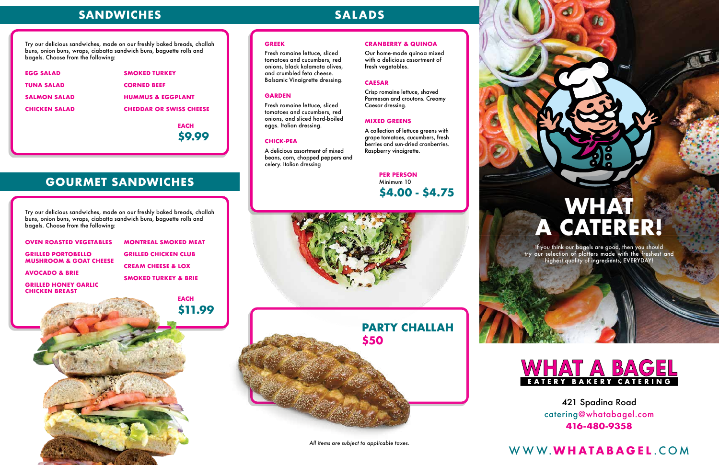421 Spadina Road catering@whatabagel.com **416-480-9358**

#### **GREEK**

Fresh romaine lettuce, sliced tomatoes and cucumbers, red onions, black kalamata olives, and crumbled feta cheese. Balsamic Vinaigrette dressing.

#### **GARDEN**

Fresh romaine lettuce, sliced tomatoes and cucumbers, red onions, and sliced hard-boiled eggs. Italian dressing.

#### **CHICK-PEA**

A delicious assortment of mixed beans, corn, chopped peppers and celery. Italian dressing

#### **CRANBERRY & QUINOA**

Our home-made quinoa mixed with a delicious assortment of fresh vegetables.

#### **CAESAR**

Crisp romaine lettuce, shaved Parmesan and croutons. Creamy Caesar dressing.

### **MIXED GREENS**

|                                                      | <b>EACH</b><br>\$11.99          |
|------------------------------------------------------|---------------------------------|
| <b>GRILLED HONEY GARLIC</b><br><b>CHICKEN BREAST</b> |                                 |
| <b>AVOCADO &amp; BRIE</b>                            | <b>SMOKED TURKEY &amp; BRIE</b> |
| <b>MUSHROOM &amp; GOAT CHEESE</b>                    | <b>CREAM CHEESE &amp; LOX</b>   |
| <b>GRILLED PORTOBELLO</b>                            | <b>GRILLED CHICKEN CLUB</b>     |
| <b>OVEN ROASTED VEGETABLES</b>                       | <b>MONTREAL SMOKED MEAT</b>     |

A collection of lettuce greens with grape tomatoes, cucumbers, fresh berries and sun-dried cranberries. Raspberry vinaigrette.

| <b>EGG SALAD</b>     | <b>SMOKED TURKEY</b>           |  |
|----------------------|--------------------------------|--|
| TUNA SALAD           | <b>CORNED BEEF</b>             |  |
| <b>SALMON SALAD</b>  | <b>HUMMUS &amp; EGGPLANT</b>   |  |
| <b>CHICKEN SALAD</b> | <b>CHEDDAR OR SWISS CHEESE</b> |  |
|                      |                                |  |

Try our delicious sandwiches, made on our freshly baked breads, challah buns, onion buns, wraps, ciabatta sandwich buns, baguette rolls and bagels. Choose from the following:

Try our delicious sandwiches, made on our freshly baked breads, challah buns, onion buns, wraps, ciabatta sandwich buns, baguette rolls and bagels. Choose from the following:

## **SANDWICHES SALADS**

### **GOURMET SANDWICHES**





# **WHAT A CATERER!**

If you think our bagels are good, then you should try our selection of platters made with the freshest and highest quality of ingredients, EVERYDAY!



*All items are subject to applicable taxes.*

### WWW.**WHATABAGEL** .COM

### **PER PERSON** Minimum 10 **\$4.00 - \$4.75**

**EACH \$9.99**